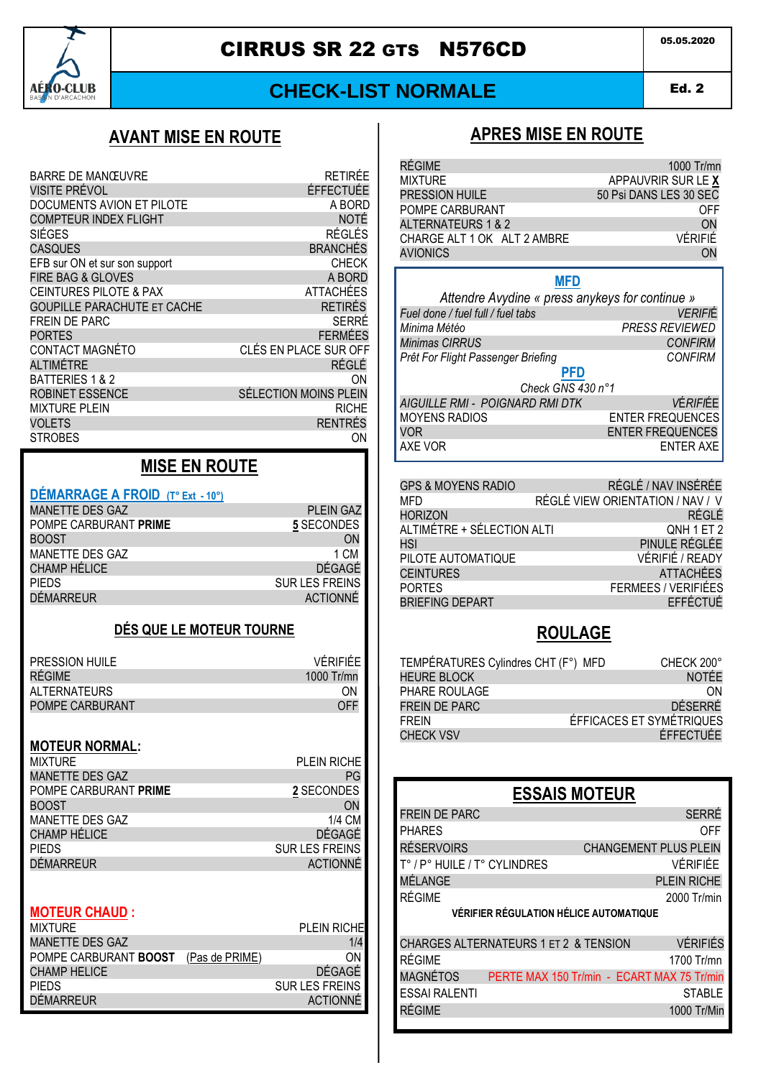

# **CIRRUS SR 22 GTS N576CD**

# **CHECK-LIST NORMALE**

**Ed. 2** 

## **AVANT MISE EN ROUTE**

| <b>BARRE DE MANŒUVRE</b>           | <b>RETIRÉE</b>        |
|------------------------------------|-----------------------|
| VISITE PRÉVOL                      | ÉFFECTUÉE             |
| DOCUMENTS AVION ET PILOTE          | A BORD                |
| <b>COMPTEUR INDEX FLIGHT</b>       | <b>NOTÉ</b>           |
| SIÉGES                             | <b>RÉGLÉS</b>         |
| <b>CASQUES</b>                     | <b>BRANCHÉS</b>       |
| EFB sur ON et sur son support      | <b>CHECK</b>          |
| <b>FIRE BAG &amp; GLOVES</b>       | A BORD                |
| <b>CEINTURES PILOTE &amp; PAX</b>  | <b>ATTACHÉES</b>      |
| <b>GOUPILLE PARACHUTE ET CACHE</b> | <b>RETIRÉS</b>        |
| FREIN DE PARC                      | SERRÉ                 |
| <b>PORTES</b>                      | <b>FERMÉES</b>        |
| CONTACT MAGNÉTO                    | CLÉS EN PLACE SUR OFF |
| ALTIMÉTRE                          | RÉGLÉ                 |
| BATTERIES 1 & 2                    | ON                    |
| <b>ROBINET ESSENCE</b>             | SÉLECTION MOINS PLEIN |
| <b>MIXTURE PLEIN</b>               | <b>RICHE</b>          |
| <b>VOLETS</b>                      | <b>RENTRÉS</b>        |
| <b>STROBES</b>                     | ON                    |

# **MISE EN ROUTE**

# DÉMARRAGE A FROID (T° Ext - 10°)

| <b>MANETTE DES GAZ</b> | <b>PLEIN GAZ</b> |
|------------------------|------------------|
| POMPE CARBURANT PRIME  | 5 SECONDES       |
| <b>BOOST</b>           | <b>ON</b>        |
| MANETTE DES GAZ        | 1 CM             |
| <b>CHAMP HÉLICE</b>    | DÉGAGÉ           |
| <b>PIEDS</b>           | SUR LES FREINS   |
| <b>DÉMARREUR</b>       | ACTIONNÉ         |
|                        |                  |

#### DÉS QUE LE MOTEUR TOURNE

| PRESSION HUILE      | VÉRIFIÉF   |
|---------------------|------------|
| RÉGIME              | 1000 Tr/mn |
| <b>ALTERNATEURS</b> | ΩN         |
| POMPE CARBURANT     | OFF        |

#### **MOTEUR NORMAL:**

| <b>MIXTURE</b>         | <b>PLEIN RICHE</b>    |
|------------------------|-----------------------|
| <b>MANETTE DES GAZ</b> | PG                    |
| POMPE CARBURANT PRIME  | 2 SECONDES            |
| <b>BOOST</b>           | ON                    |
| MANETTE DES GAZ        | 1/4 CM                |
| <b>CHAMP HÉLICE</b>    | DÉGAGÉ                |
| <b>PIEDS</b>           | <b>SUR LES FREINS</b> |
| <b>DÉMARREUR</b>       | <b>ACTIONNÉ</b>       |
|                        |                       |

#### **MOTEUR CHAUD:**

| <b>MIXTURE</b>        |                | <b>PLEIN RICHE</b>    |
|-----------------------|----------------|-----------------------|
| MANETTE DES GAZ       |                | 1/4                   |
| POMPE CARBURANT BOOST | (Pas de PRIME) | ΩN                    |
| <b>CHAMP HELICE</b>   |                | DÉGAGÉ                |
| <b>PIEDS</b>          |                | <b>SUR LES FREINS</b> |
| <b>DÉMARREUR</b>      |                | <b>ACTIONNÉ</b>       |

# **APRES MISE EN ROUTE**

| RÉGIME                      | 1000 Tr/mn             |
|-----------------------------|------------------------|
| <b>MIXTURE</b>              | APPAUVRIR SUR LE X     |
| PRESSION HUILE              | 50 Psi DANS LES 30 SEC |
| POMPE CARBURANT             | OFF                    |
| ALTERNATEURS 1 & 2          | ON                     |
| CHARGE ALT 1 OK ALT 2 AMBRE | VÉRIFIÉ                |
| <b>AVIONICS</b>             | ON                     |
|                             |                        |

#### **MFD**

| Attendre Avydine « press anykeys for continue » |                         |  |
|-------------------------------------------------|-------------------------|--|
| Fuel done / fuel full / fuel tabs               | <b>VERIFIÉ</b>          |  |
| Minima Météo                                    | <b>PRESS REVIEWED</b>   |  |
| Minimas CIRRUS                                  | <b>CONFIRM</b>          |  |
| Prêt For Flight Passenger Briefing              | <b>CONFIRM</b>          |  |
| PFD                                             |                         |  |
| Check GNS 430 n°1                               |                         |  |
| <b>AIGUILLE RMI - POIGNARD RMI DTK</b>          | <b>VÉRIFIÉE</b>         |  |
| <b>MOYENS RADIOS</b>                            | <b>ENTER FREQUENCES</b> |  |
| <b>VOR</b>                                      | <b>ENTER FREQUENCES</b> |  |
| AXE VOR                                         | <b>ENTER AXE</b>        |  |

| RÉGLÉ / NAV INSÉRÉE              |
|----------------------------------|
| RÉGLÉ VIEW ORIENTATION / NAV / V |
| RÉGLÉ                            |
| QNH 1 ET 2                       |
| PINULE RÉGLÉE                    |
| VÉRIFIÉ / READY                  |
| <b>ATTACHÉES</b>                 |
| <b>FERMEES / VERIFIÉES</b>       |
| EFFÉCTUÉ                         |
|                                  |

## **ROULAGE**

| TEMPÉRATURES Cylindres CHT (F°) MFD | CHECK 200°               |
|-------------------------------------|--------------------------|
| <b>HEURE BLOCK</b>                  | <b>NOTÉE</b>             |
| PHARE ROULAGE                       | ON                       |
| FREIN DE PARC                       | DÉSERRÉ                  |
| <b>FRFIN</b>                        | ÉFFICACES ET SYMÉTRIQUES |
| <b>CHECK VSV</b>                    | ÉFFECTUÉE                |

# **ESSAIS MOTEUR**

| <b>FREIN DE PARC</b>                  | <b>SERRÉ</b>                               |
|---------------------------------------|--------------------------------------------|
| <b>PHARES</b>                         | OFF                                        |
| <b>RÉSERVOIRS</b>                     | <b>CHANGEMENT PLUS PLEIN</b>               |
| T° / P° HUILE / T° CYLINDRES          | <b>VÉRIFIÉE</b>                            |
| MÉLANGE                               | PLEIN RICHE                                |
| RÉGIME                                | 2000 Tr/min                                |
|                                       | VÉRIFIER RÉGULATION HÉLICE AUTOMATIQUE     |
|                                       |                                            |
| CHARGES ALTERNATEURS 1 ET 2 & TENSION | <b>VÉRIFIÉS</b>                            |
| RÉGIME                                | 1700 Tr/mn                                 |
| <b>MAGNÉTOS</b>                       | PERTE MAX 150 Tr/min - ECART MAX 75 Tr/min |
| <b>ESSAI RALENTI</b>                  | <b>STABLE</b>                              |
| RÉGIME                                | 1000 Tr/Min                                |
|                                       |                                            |